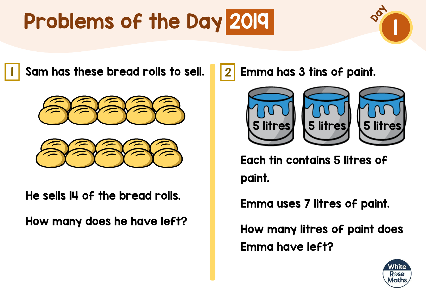

I Sam has these bread rolls to sell. <u>12</u>





He sells 14 of the bread rolls.

How many does he have left?

Emma has 3 tins of paint.



Each tin contains 5 litres of paint.

Emma uses 7 litres of paint.

How many litres of paint does Emma have left?

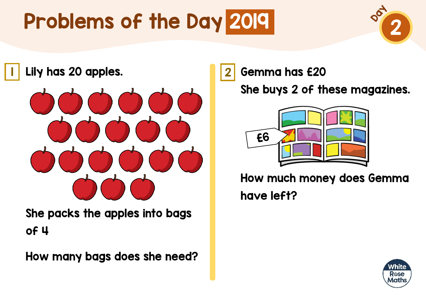

<mark>l</mark> Lily has 20 apples. The same of  $\vert 2 \vert$ 



She packs the apples into bags of 4

How many bags does she need?

Gemma has £20

She buys 2 of these magazines.



How much money does Gemma have left?

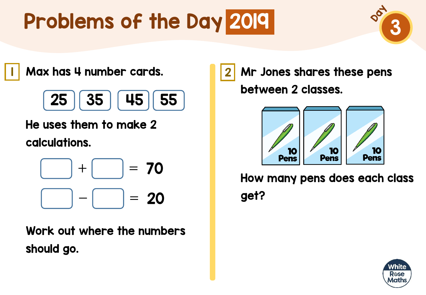

<mark>|</mark> Max has 4 number cards. <mark>|</mark> 2



He uses them to make 2 calculations.

$$
\boxed{\phantom{0}} + \boxed{\phantom{0}} = 70
$$
  

$$
\boxed{\phantom{0}} - \boxed{\phantom{0}} = 20
$$

Work out where the numbers should go.

Mr Jones shares these pens between 2 classes.



How many pens does each class get?

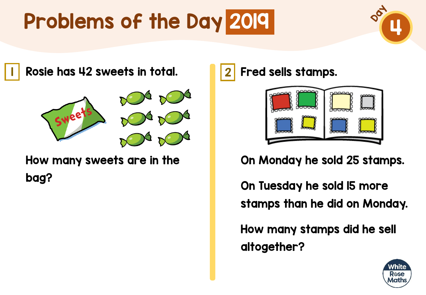

<mark>l</mark> Rosie has 42 sweets in total. <mark>1</mark>2



How many sweets are in the bag?

Fred sells stamps.



On Monday he sold 25 stamps.

On Tuesday he sold 15 more stamps than he did on Monday.

How many stamps did he sell altogether?

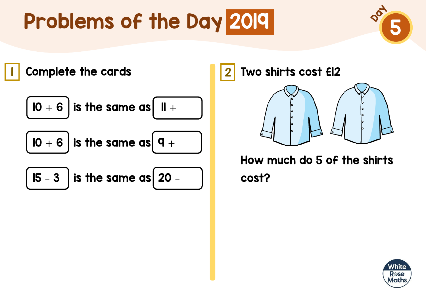



Two shirts cost £12



How much do 5 of the shirts cost?

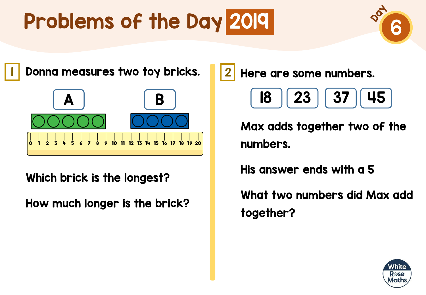

<mark>l</mark> Donna measures two toy bricks. 12



Which brick is the longest?

How much longer is the brick?

Here are some numbers.

$$
\begin{array}{|c|c|c|}\hline \textbf{18} & \textbf{23} & \textbf{37} & \textbf{45} \\ \hline \end{array}
$$

Max adds together two of the numbers.

His answer ends with a 5

What two numbers did Max add together?

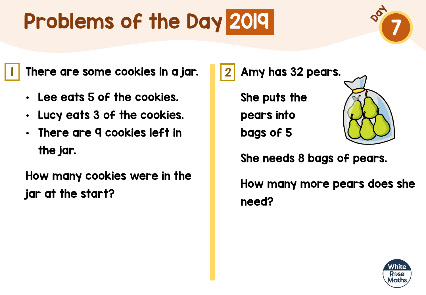

 $\blacksquare$  There are some cookies in a jar.  $\blacksquare\hspace{-0.2cm}|\hspace{0.2cm}2$ 

- Lee eats 5 of the cookies.
- Lucy eats 3 of the cookies.
- There are 9 cookies left in the jar.

How many cookies were in the jar at the start?

Amy has 32 pears.

She puts the pears into bags of 5



She needs 8 bags of pears.

How many more pears does she need?

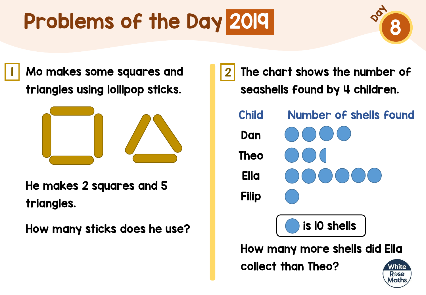

I Mo makes some squares and **1**2 triangles using lollipop sticks.



He makes 2 squares and 5 triangles.

How many sticks does he use?

The chart shows the number of seashells found by 4 children. Child Number of shells found Dan Theo Ella Filip is 10 shellsHow many more shells did Ella collect than Theo? Mhite Rose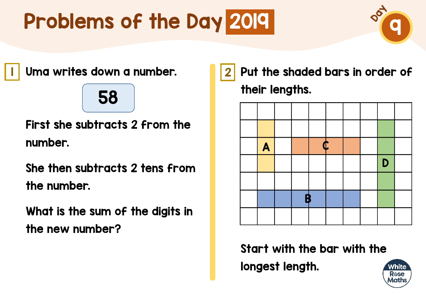

<mark>l</mark> Uma writes down a number. <mark>1</mark> 2

### 58

First she subtracts 2 from the number.

She then subtracts 2 tens from the number.

What is the sum of the digits in the new number?

Put the shaded bars in order of their lengths.



Start with the bar with the longest length.

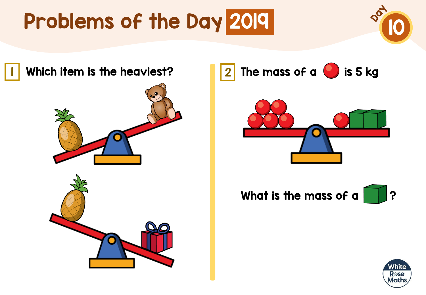



The mass of a  $\bigcirc$  is 5 kg



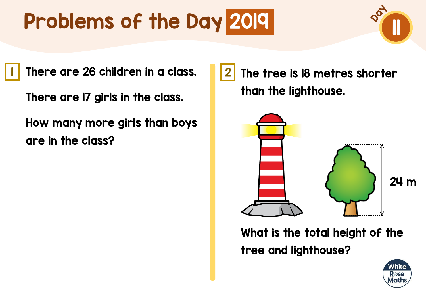I There are 26 children in a class. II<mark>.</mark> 2

There are 17 girls in the class.

How many more girls than boys are in the class?

The tree is 18 metres shorter than the lighthouse.



What is the total height of the tree and lighthouse?

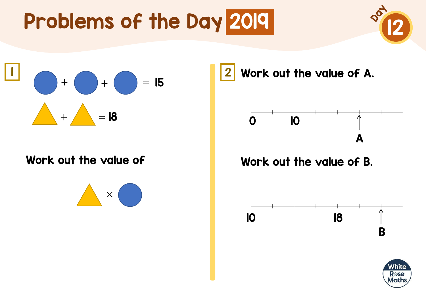



#### Work out the value of



Work out the value of A.



#### Work out the value of B.



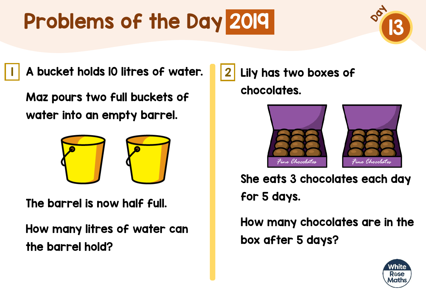

**I** A bucket holds IO litres of water. 12

Maz pours two full buckets of water into an empty barrel.



The barrel is now half full.

How many litres of water can the barrel hold?

Lily has two boxes of chocolates.





She eats 3 chocolates each day for 5 days.

How many chocolates are in the box after 5 days?

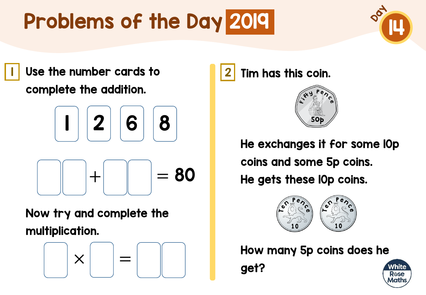

I Use the number cards to **12** 2 complete the addition.

$$
\begin{bmatrix} 1 & 2 & 6 & 8 \end{bmatrix}
$$

$$
\begin{bmatrix} -1 & -1 & -1 & -1 \end{bmatrix}
$$

Now try and complete the multiplication.

$$
\begin{array}{|c|} \hline \\[-1.2mm] \\[-1.2mm] \\[-1.2mm] \\[-1.2mm] \\[-1.2mm] \\[-1.2mm] \\[-1.2mm] \\[-1.2mm] \\[-1.2mm] \\[-1.2mm] \\[-1.2mm] \\[-1.2mm] \\[-1.2mm] \\[-1.2mm] \\[-1.2mm] \\[-1.2mm] \\[-1.2mm] \\[-1.2mm] \\[-1.2mm] \\[-1.2mm] \\[-1.2mm] \\[-1.2mm] \\[-1.2mm] \\[-1.2mm] \\[-1.2mm] \\[-1.2mm] \\[-1.2mm] \\[-1.2mm] \\[-1.2mm] \\[-1.2mm] \\[-1.2mm] \\[-1.2mm] \\[-1.2mm] \\[-1.2mm] \\[-1.2mm] \\[-1.2mm] \\[-1.2mm] \\[-1.2mm] \\[-1.2mm] \\[-1.2mm] \\[-1.2mm] \\[-1.2mm] \\[-1.2mm] \\[-1.2mm] \\[-1.2mm] \\[-1.2mm] \\[-1.2mm] \\[-1.2mm] \\[-1.2mm] \\[-1.2mm] \\[-1.2mm] \\[-1.2mm] \\[-1.2mm] \\[-1.2mm] \\[-1.2mm] \\[-1.2mm] \\[-1.2mm] \\[-1.2mm] \\[-1.2mm] \\[-1.2mm] \\[-1.2mm] \\[-1.2mm] \\[-1.2mm] \\[-1.2mm] \\[-1.2mm] \\[-1.2mm] \\[-1.2mm] \\[-1.2mm] \\[-1.2mm] \\[-1.2mm] \\[-1.2mm] \\[-1.2mm] \\[-1.2mm] \\[-1.2mm] \\[-1.2mm] \\[-1.2mm] \\[-1.2mm] \\[-1.2mm] \\[-1.2mm] \\[-1.2mm] \\[-1.2mm] \\[-1.2mm] \\[-1.2mm] \\[-1.2mm] \\[-1.2mm] \\[-1.2mm] \\[-1.2mm] \\[-1.2mm] \\[-1.2mm] \\[-1.2mm] \\[-1.2mm] \\[-1.2mm] \\[-1.2mm] \\[-1.2mm] \\[-1.2mm] \\[-1.2mm] \\[-1.2mm] \\[-1.2mm] \\[-1.2mm] \\[-1.2mm] \\[-1.2mm] \\[-1.2mm] \\[-1.2mm] \\[-1.2mm] \\[-1.2mm] \\[-1.2mm] \\[-1.2mm
$$

Tim has this coin.



He exchanges it for some 10p coins and some 5p coins. He gets these 10p coins.



How many 5p coins does he

get?

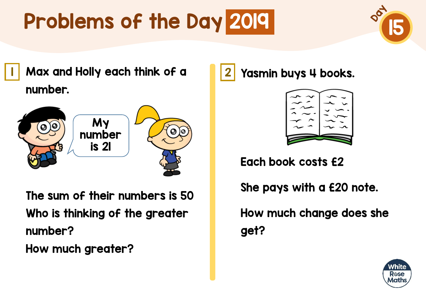

<mark>l</mark> Max and Holly each think of a **1**2 number.



The sum of their numbers is 50 Who is thinking of the greater number?

How much greater?

Yasmin buys 4 books.



Each book costs £2

She pays with a £20 note.

How much change does she get?

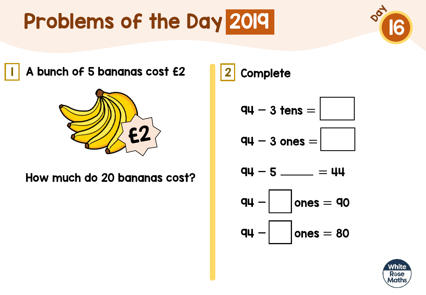

A bunch of 5 bananas cost £2 2



How much do 20 bananas cost?

Complete

$$
qq - 3 \text{ tens} = \boxed{\phantom{a}}
$$

$$
qu - 3 ones =
$$

$$
q\mu - 5 \underline{\hspace{1cm}} = 44
$$



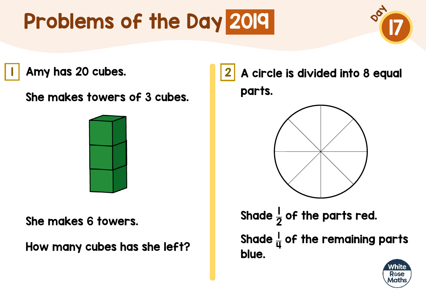

Amy has 20 cubes. 1 2

She makes towers of 3 cubes.



She makes 6 towers.

How many cubes has she left?

A circle is divided into 8 equal parts.



Shade  $\frac{1}{2}$ 2 of the parts red. Shade  $\frac{1}{11}$ 4 of the remaining parts blue.

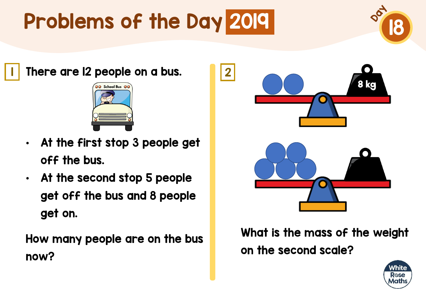

 $\blacksquare$  There are I2 people on a bus.  $\blacksquare$  2



- At the first stop 3 people get off the bus.
- At the second stop 5 people get off the bus and 8 people get on.

How many people are on the bus now?



What is the mass of the weight on the second scale?

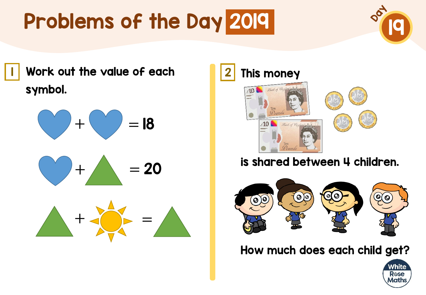

Work out the value of each 1 2 symbol.



$$
\bigcirc + \bigwedge = 20
$$





#### is shared between 4 children.



How much does each child get?